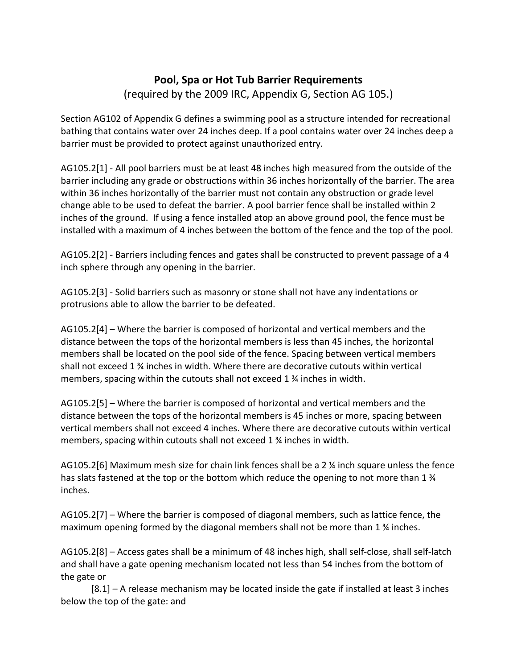## **Pool, Spa or Hot Tub Barrier Requirements** (required by the 2009 IRC, Appendix G, Section AG 105.)

Section AG102 of Appendix G defines a swimming pool as a structure intended for recreational bathing that contains water over 24 inches deep. If a pool contains water over 24 inches deep a barrier must be provided to protect against unauthorized entry.

AG105.2[1] - All pool barriers must be at least 48 inches high measured from the outside of the barrier including any grade or obstructions within 36 inches horizontally of the barrier. The area within 36 inches horizontally of the barrier must not contain any obstruction or grade level change able to be used to defeat the barrier. A pool barrier fence shall be installed within 2 inches of the ground. If using a fence installed atop an above ground pool, the fence must be installed with a maximum of 4 inches between the bottom of the fence and the top of the pool.

AG105.2[2] - Barriers including fences and gates shall be constructed to prevent passage of a 4 inch sphere through any opening in the barrier.

AG105.2[3] - Solid barriers such as masonry or stone shall not have any indentations or protrusions able to allow the barrier to be defeated.

AG105.2[4] – Where the barrier is composed of horizontal and vertical members and the distance between the tops of the horizontal members is less than 45 inches, the horizontal members shall be located on the pool side of the fence. Spacing between vertical members shall not exceed 1 ¾ inches in width. Where there are decorative cutouts within vertical members, spacing within the cutouts shall not exceed 1 ¾ inches in width.

AG105.2[5] – Where the barrier is composed of horizontal and vertical members and the distance between the tops of the horizontal members is 45 inches or more, spacing between vertical members shall not exceed 4 inches. Where there are decorative cutouts within vertical members, spacing within cutouts shall not exceed 1 ¾ inches in width.

AG105.2[6] Maximum mesh size for chain link fences shall be a 2 ¼ inch square unless the fence has slats fastened at the top or the bottom which reduce the opening to not more than 1  $\frac{1}{4}$ inches.

AG105.2[7] – Where the barrier is composed of diagonal members, such as lattice fence, the maximum opening formed by the diagonal members shall not be more than 1 $\frac{1}{2}$  inches.

AG105.2[8] – Access gates shall be a minimum of 48 inches high, shall self-close, shall self-latch and shall have a gate opening mechanism located not less than 54 inches from the bottom of the gate or

[8.1] – A release mechanism may be located inside the gate if installed at least 3 inches below the top of the gate: and